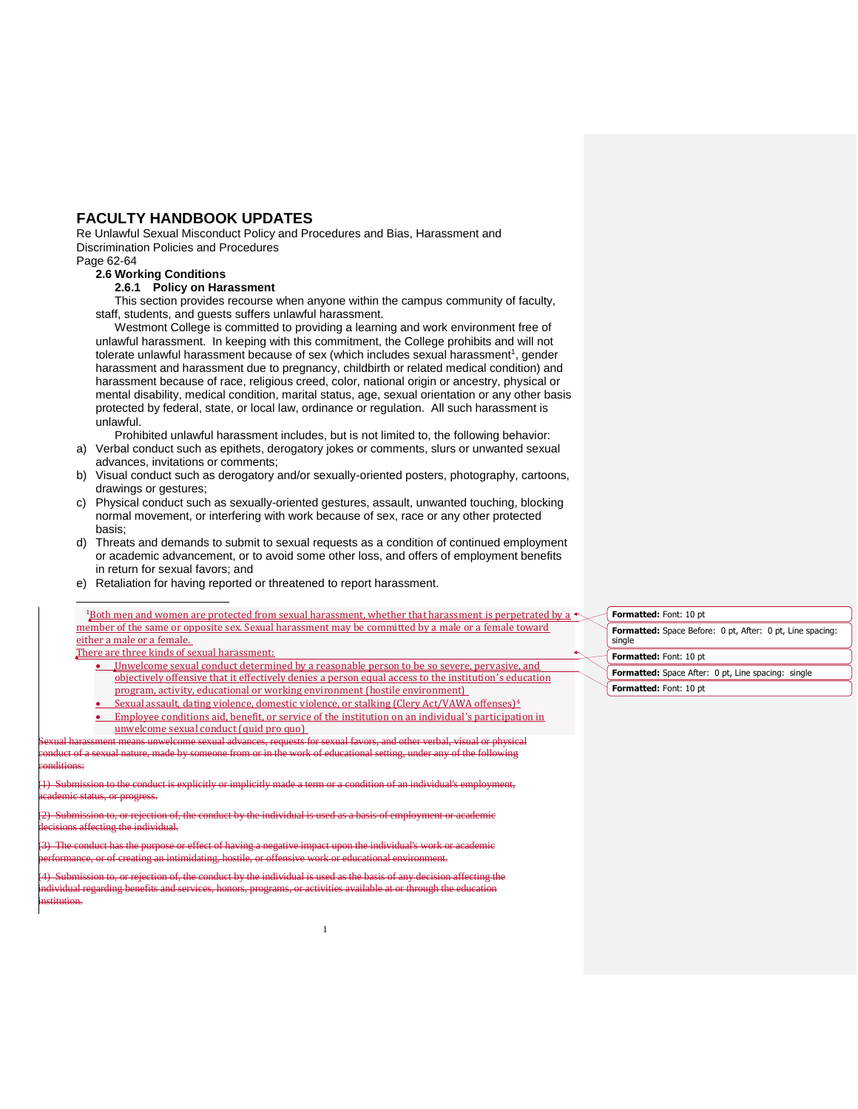## **FACULTY HANDBOOK UPDATES**

Re Unlawful Sexual Misconduct Policy and Procedures and Bias, Harassment and Discrimination Policies and Procedures

## Page 62-64

1

## **2.6 Working Conditions**

**2.6.1 Policy on Harassment**

This section provides recourse when anyone within the campus community of faculty, staff, students, and guests suffers unlawful harassment.

Westmont College is committed to providing a learning and work environment free of unlawful harassment. In keeping with this commitment, the College prohibits and will not tolerate unlawful harassment because of sex (which includes sexual harassment<sup>1</sup>, gender harassment and harassment due to pregnancy, childbirth or related medical condition) and harassment because of race, religious creed, color, national origin or ancestry, physical or mental disability, medical condition, marital status, age, sexual orientation or any other basis protected by federal, state, or local law, ordinance or regulation. All such harassment is unlawful.

Prohibited unlawful harassment includes, but is not limited to, the following behavior:

- a) Verbal conduct such as epithets, derogatory jokes or comments, slurs or unwanted sexual advances, invitations or comments;
- b) Visual conduct such as derogatory and/or sexually-oriented posters, photography, cartoons, drawings or gestures;
- c) Physical conduct such as sexually-oriented gestures, assault, unwanted touching, blocking normal movement, or interfering with work because of sex, race or any other protected basis;
- d) Threats and demands to submit to sexual requests as a condition of continued employment or academic advancement, or to avoid some other loss, and offers of employment benefits in return for sexual favors; and
- e) Retaliation for having reported or threatened to report harassment.

## Both men and women are protected from sexual harassment, whether that harassment is perpetrated by a  $\triangleleft$ member of the same or opposite sex. Sexual harassment may be committed by a male or a female toward either a male or a female.

There are three kinds of sexual harassment:

- Unwelcome sexual conduct determined by a reasonable person to be so severe, pervasive, and objectively offensive that it effectively denies a person equal access to the institution's education program, activity, educational or working environment (hostile environment)
- Sexual assault, dating violence, domestic violence, or stalking (Clery Act/VAWA offenses)<sup>4</sup>
- **Employee conditions aid, benefit, or service of the institution on an individual's participation in** unwelcome sexual conduct (quid pro quo)

1

sment means unwelcome sexual advances, requests for sexual favors, and other verbal duct of a sexual nature, made by someone from or in the work of educational setting, under any of the following ac*c* 

uct is explicitly or implicitly made a term or a condition of an individu status, or progress.

 $\frac{1}{2}$  Submission of the conduct by the individual is used as a basis of the conduct of the conduct by the individual is used as a basis affecting the individual.

(3) The conduct has the purpose or effect of having a negative impact upon the individual's work or academic performance, or of creating an intimidating, hostile, or offensive work or educational environment.

Submission to, or rejection of, the conduct by the individual is used as the basis of any decision affecting the<br>vidual regarding benefits and services, honors, programs, or activities available at or through the education individual regarding benefits and services, honors, programs, or activities available at or through the education institution.

**Formatted:** Space Before: 0 pt, After: 0 pt, Line spacing: single **Formatted:** Font: 10 pt **Formatted:** Font: 10 pt **Formatted:** Space After: 0 pt, Line spacing: single **Formatted:** Font: 10 pt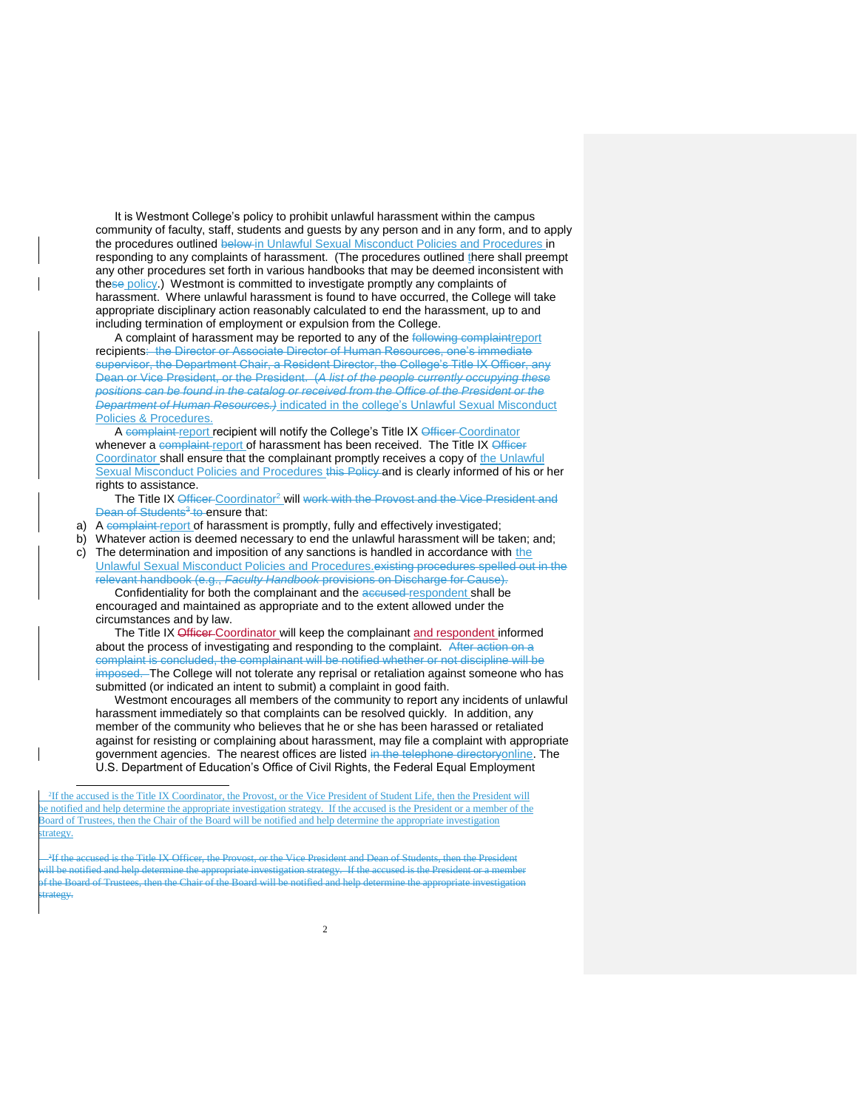It is Westmont College's policy to prohibit unlawful harassment within the campus community of faculty, staff, students and guests by any person and in any form, and to apply the procedures outlined below in Unlawful Sexual Misconduct Policies and Procedures in responding to any complaints of harassment. (The procedures outlined there shall preempt any other procedures set forth in various handbooks that may be deemed inconsistent with these policy.) Westmont is committed to investigate promptly any complaints of harassment. Where unlawful harassment is found to have occurred, the College will take appropriate disciplinary action reasonably calculated to end the harassment, up to and including termination of employment or expulsion from the College.

A complaint of harassment may be reported to any of the following complaintreport recipients: the Director or Associate Director of Human Resources, one's immediate supervisor, the Department Chair, a Resident Director, the College's Title IX Officer, any Dean or Vice President, or the President. (*A list of the people currently occupying these positions can be found in the catalog or received from the Office of the President or the Department of Human Resources.)* indicated in the college's Unlawful Sexual Misconduct Policies & Procedures.

A complaint report recipient will notify the College's Title IX Officer Coordinator whenever a complaint report of harassment has been received. The Title IX Officer Coordinator shall ensure that the complainant promptly receives a copy of the Unlawful Sexual Misconduct Policies and Procedures this Policy and is clearly informed of his or her rights to assistance.

The Title IX Officer Coordinator<sup>2</sup> will work with the Provost and the Vice President and Dean of Students<sup>3</sup> to ensure that:

a) A complaint report of harassment is promptly, fully and effectively investigated;

b) Whatever action is deemed necessary to end the unlawful harassment will be taken; and;

c) The determination and imposition of any sanctions is handled in accordance with the Unlawful Sexual Misconduct Policies and Procedures.existing procedures spelled out in the relevant handbook (e.g., *Faculty Handbook* provisions on Discharge for Cause).

Confidentiality for both the complainant and the accused respondent shall be encouraged and maintained as appropriate and to the extent allowed under the circumstances and by law.

The Title IX Officer-Coordinator will keep the complainant and respondent informed about the process of investigating and responding to the complaint. After action on a complaint is concluded, the complainant will be notified whether or not discipline will be imposed. The College will not tolerate any reprisal or retaliation against someone who has submitted (or indicated an intent to submit) a complaint in good faith.

Westmont encourages all members of the community to report any incidents of unlawful harassment immediately so that complaints can be resolved quickly. In addition, any member of the community who believes that he or she has been harassed or retaliated against for resisting or complaining about harassment, may file a complaint with appropriate government agencies. The nearest offices are listed in the telephone directoryonline. The U.S. Department of Education's Office of Civil Rights, the Federal Equal Employment

 2 If the accused is the Title IX Coordinator, the Provost, or the Vice President of Student Life, then the President will be notified and help determine the appropriate investigation strategy. If the accused is the President or a member of the Board of Trustees, then the Chair of the Board will be notified and help determine the appropriate investigation strategy.

l

ŀ 3 ccused is the Title IX Officer, the Provost, or the Vice President and Dean of Students, then the President will be notified and help determine the appropriate investigation strategy. If the accused is the President or a member of the Board of Trustees, then the Chair of the Board will be notified and help determine the appropriate investigation trategy.